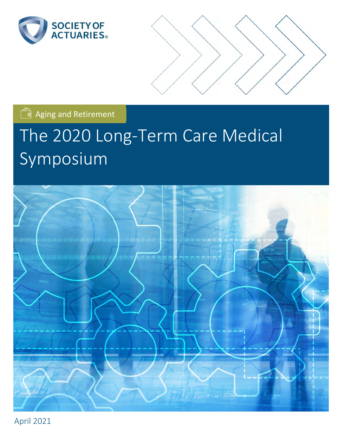



Aging and Retirement

# The 2020 Long‐Term Care Medical Symposium



April 2021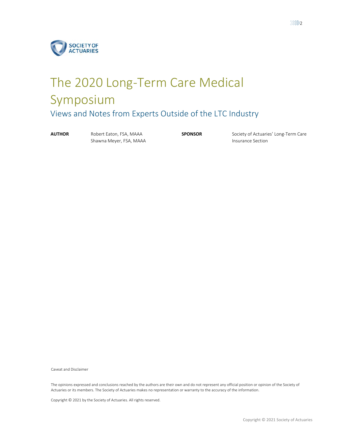

# The 2020 Long‐Term Care Medical Symposium Views and Notes from Experts Outside of the LTC Industry

**AUTHOR** Robert Eaton, FSA, MAAA Shawna Meyer, FSA, MAAA

**SPONSOR** Society of Actuaries' Long-Term Care Insurance Section

Caveat and Disclaimer

The opinions expressed and conclusions reached by the authors are their own and do not represent any official position or opinion of the Society of Actuaries or its members. The Society of Actuaries makes no representation or warranty to the accuracy of the information.

Copyright © 2021 by the Society of Actuaries. All rights reserved.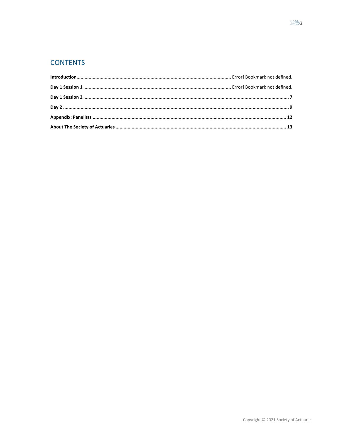# **CONTENTS**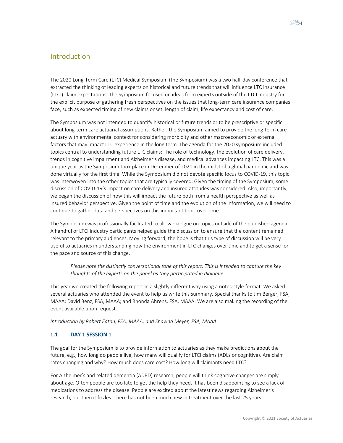The 2020 Long‐Term Care (LTC) Medical Symposium (the Symposium) was a two half‐day conference that extracted the thinking of leading experts on historical and future trends that will influence LTC insurance (LTCI) claim expectations. The Symposium focused on ideas from experts outside of the LTCI industry for the explicit purpose of gathering fresh perspectives on the issues that long-term care insurance companies face, such as expected timing of new claims onset, length of claim, life expectancy and cost of care.

The Symposium was not intended to quantify historical or future trends or to be prescriptive or specific about long‐term care actuarial assumptions. Rather, the Symposium aimed to provide the long‐term care actuary with environmental context for considering morbidity and other macroeconomic or external factors that may impact LTC experience in the long term. The agenda for the 2020 symposium included topics central to understanding future LTC claims: The role of technology, the evolution of care delivery, trends in cognitive impairment and Alzheimer's disease, and medical advances impacting LTC. This was a unique year as the Symposium took place in December of 2020 in the midst of a global pandemic and was done virtually for the first time. While the Symposium did not devote specific focus to COVID‐19, this topic was interwoven into the other topics that are typically covered. Given the timing of the Symposium, some discussion of COVID‐19's impact on care delivery and insured attitudes was considered. Also, importantly, we began the discussion of how this will impact the future both from a health perspective as well as insured behavior perspective. Given the point of time and the evolution of the information, we will need to continue to gather data and perspectives on this important topic over time.

The Symposium was professionally facilitated to allow dialogue on topics outside of the published agenda. A handful of LTCI industry participants helped guide the discussion to ensure that the content remained relevant to the primary audiences. Moving forward, the hope is that this type of discussion will be very useful to actuaries in understanding how the environment in LTC changes over time and to get a sense for the pace and source of this change.

*Please note the distinctly conversational tone of this report: This is intended to capture the key thoughts of the experts on the panel as they participated in dialogue.* 

This year we created the following report in a slightly different way using a notes‐style format. We asked several actuaries who attended the event to help us write this summary. Special thanks to Jim Berger, FSA, MAAA; David Benz, FSA, MAAA; and Rhonda Ahrens, FSA, MAAA. We are also making the recording of the event available upon request.

*Introduction by Robert Eaton, FSA, MAAA; and Shawna Meyer, FSA, MAAA* 

#### **1.1 DAY 1 SESSION 1**

The goal for the Symposium is to provide information to actuaries as they make predictions about the future, e.g., how long do people live, how many will qualify for LTCI claims (ADLs or cognitive). Are claim rates changing and why? How much does care cost? How long will claimants need LTC?

For Alzheimer's and related dementia (ADRD) research, people will think cognitive changes are simply about age. Often people are too late to get the help they need. It has been disappointing to see a lack of medications to address the disease. People are excited about the latest news regarding Alzheimer's research, but then it fizzles. There has not been much new in treatment over the last 25 years.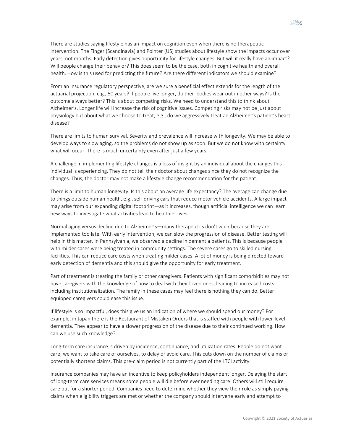There are studies saying lifestyle has an impact on cognition even when there is no therapeutic intervention. The Finger (Scandinavia) and Pointer (US) studies about lifestyle show the impacts occur over years, not months. Early detection gives opportunity for lifestyle changes. But will it really have an impact? Will people change their behavior? This does seem to be the case, both in cognitive health and overall health. How is this used for predicting the future? Are there different indicators we should examine?

From an insurance regulatory perspective, are we sure a beneficial effect extends for the length of the actuarial projection, e.g., 50 years? If people live longer, do their bodies wear out in other ways? Is the outcome always better? This is about competing risks. We need to understand this to think about Alzheimer's. Longer life will increase the risk of cognitive issues. Competing risks may not be just about physiology but about what we choose to treat, e.g., do we aggressively treat an Alzheimer's patient's heart disease?

There are limits to human survival. Severity and prevalence will increase with longevity. We may be able to develop ways to slow aging, so the problems do not show up as soon. But we do not know with certainty what will occur. There is much uncertainty even after just a few years.

A challenge in implementing lifestyle changes is a loss of insight by an individual about the changes this individual is experiencing. They do not tell their doctor about changes since they do not recognize the changes. Thus, the doctor may not make a lifestyle change recommendation for the patient.

There is a limit to human longevity. Is this about an average life expectancy? The average can change due to things outside human health, e.g., self‐driving cars that reduce motor vehicle accidents. A large impact may arise from our expanding digital footprint—as it increases, though artificial intelligence we can learn new ways to investigate what activities lead to healthier lives.

Normal aging versus decline due to Alzheimer's—many therapeutics don't work because they are implemented too late. With early intervention, we can slow the progression of disease. Better testing will help in this matter. In Pennsylvania, we observed a decline in dementia patients. This is because people with milder cases were being treated in community settings. The severe cases go to skilled nursing facilities. This can reduce care costs when treating milder cases. A lot of money is being directed toward early detection of dementia and this should give the opportunity for early treatment.

Part of treatment is treating the family or other caregivers. Patients with significant comorbidities may not have caregivers with the knowledge of how to deal with their loved ones, leading to increased costs including institutionalization. The family in these cases may feel there is nothing they can do. Better equipped caregivers could ease this issue.

If lifestyle is so impactful, does this give us an indication of where we should spend our money? For example, in Japan there is the Restaurant of Mistaken Orders that is staffed with people with lower‐level dementia. They appear to have a slower progression of the disease due to their continued working. How can we use such knowledge?

Long-term care insurance is driven by incidence, continuance, and utilization rates. People do not want care; we want to take care of ourselves, to delay or avoid care. This cuts down on the number of claims or potentially shortens claims. This pre-claim period is not currently part of the LTCI activity.

Insurance companies may have an incentive to keep policyholders independent longer. Delaying the start of long‐term care services means some people will die before ever needing care. Others will still require care but for a shorter period. Companies need to determine whether they view their role as simply paying claims when eligibility triggers are met or whether the company should intervene early and attempt to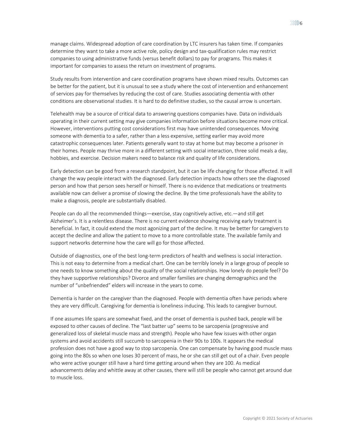manage claims. Widespread adoption of care coordination by LTC insurers has taken time. If companies determine they want to take a more active role, policy design and tax-qualification rules may restrict companies to using administrative funds (versus benefit dollars) to pay for programs. This makes it important for companies to assess the return on investment of programs.

Study results from intervention and care coordination programs have shown mixed results. Outcomes can be better for the patient, but it is unusual to see a study where the cost of intervention and enhancement of services pay for themselves by reducing the cost of care. Studies associating dementia with other conditions are observational studies. It is hard to do definitive studies, so the causal arrow is uncertain.

Telehealth may be a source of critical data to answering questions companies have. Data on individuals operating in their current setting may give companies information before situations become more critical. However, interventions putting cost considerations first may have unintended consequences. Moving someone with dementia to a safer, rather than a less expensive, setting earlier may avoid more catastrophic consequences later. Patients generally want to stay at home but may become a prisoner in their homes. People may thrive more in a different setting with social interaction, three solid meals a day, hobbies, and exercise. Decision makers need to balance risk and quality of life considerations.

Early detection can be good from a research standpoint, but it can be life changing for those affected. It will change the way people interact with the diagnosed. Early detection impacts how others see the diagnosed person and how that person sees herself or himself. There is no evidence that medications or treatments available now can deliver a promise of slowing the decline. By the time professionals have the ability to make a diagnosis, people are substantially disabled.

People can do all the recommended things—exercise, stay cognitively active, etc.—and still get Alzheimer's. It is a relentless disease. There is no current evidence showing receiving early treatment is beneficial. In fact, it could extend the most agonizing part of the decline. It may be better for caregivers to accept the decline and allow the patient to move to a more controllable state. The available family and support networks determine how the care will go for those affected.

Outside of diagnostics, one of the best long‐term predictors of health and wellness is social interaction. This is not easy to determine from a medical chart. One can be terribly lonely in a large group of people so one needs to know something about the quality of the social relationships. How lonely do people feel? Do they have supportive relationships? Divorce and smaller families are changing demographics and the number of "unbefriended" elders will increase in the years to come.

Dementia is harder on the caregiver than the diagnosed. People with dementia often have periods where they are very difficult. Caregiving for dementia is loneliness inducing. This leads to caregiver burnout.

If one assumes life spans are somewhat fixed, and the onset of dementia is pushed back, people will be exposed to other causes of decline. The "last batter up" seems to be sarcopenia (progressive and generalized loss of skeletal muscle mass and strength). People who have few issues with other organ systems and avoid accidents still succumb to sarcopenia in their 90s to 100s. It appears the medical profession does not have a good way to stop sarcopenia. One can compensate by having good muscle mass going into the 80s so when one loses 30 percent of mass, he or she can still get out of a chair. Even people who were active younger still have a hard time getting around when they are 100. As medical advancements delay and whittle away at other causes, there will still be people who cannot get around due to muscle loss.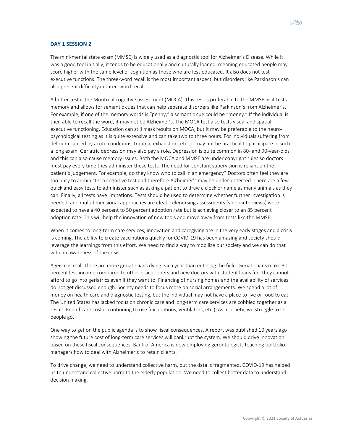#### **DAY 1 SESSION 2**

The mini‐mental state exam (MMSE) is widely used as a diagnostic tool for Alzheimer's Disease. While it was a good tool initially, it tends to be educationally and culturally loaded, meaning educated people may score higher with the same level of cognition as those who are less educated. It also does not test executive functions. The three‐word recall is the most important aspect, but disorders like Parkinson's can also present difficulty in three‐word recall.

A better test is the Montreal cognitive assessment (MOCA). This test is preferable to the MMSE as it tests memory and allows for semantic cues that can help separate disorders like Parkinson's from Alzheimer's. For example, if one of the memory words is "penny," a semantic cue could be "money." If the individual is then able to recall the word, it may not be Alzheimer's. The MOCA test also tests visual and spatial executive functioning. Education can still mask results on MOCA, but it may be preferable to the neuropsychological testing as it is quite extensive and can take two to three hours. For individuals suffering from delirium caused by acute conditions, trauma, exhaustion, etc., it may not be practical to participate in such a long exam. Geriatric depression may also pay a role. Depression is quite common in 80‐ and 90‐year‐olds and this can also cause memory issues. Both the MOCA and MMSE are under copyright rules so doctors must pay every time they administer these tests. The need for constant supervision is reliant on the patient's judgement. For example, do they know who to call in an emergency? Doctors often feel they are too busy to administer a cognitive test and therefore Alzheimer's may be under‐detected. There are a few quick and easy tests to administer such as asking a patient to draw a clock or name as many animals as they can. Finally, all tests have limitations. Tests should be used to determine whether further investigation is needed, and multidimensional approaches are ideal. Telenursing assessments (video interviews) were expected to have a 40 percent to 50 percent adoption rate but is achieving closer to an 85 percent adoption rate. This will help the innovation of new tools and move away from tests like the MMSE.

When it comes to long‐term care services, innovation and caregiving are in the very early stages and a crisis is coming. The ability to create vaccinations quickly for COVID‐19 has been amazing and society should leverage the learnings from this effort. We need to find a way to mobilize our society and we can do that with an awareness of the crisis.

Ageism is real. There are more geriatricians dying each year than entering the field. Geriatricians make 30 percent less income compared to other practitioners and new doctors with student loans feel they cannot afford to go into geriatrics even if they want to. Financing of nursing homes and the availability of services do not get discussed enough. Society needs to focus more on social arrangements. We spend a lot of money on health care and diagnostic testing, but the individual may not have a place to live or food to eat. The United States has lacked focus on chronic care and long‐term care services are cobbled together as a result. End of care cost is continuing to rise (incubations, ventilators, etc.). As a society, we struggle to let people go.

One way to get on the public agenda is to show fiscal consequences. A report was published 10 years ago showing the future cost of long‐term care services will bankrupt the system. We should drive innovation based on these fiscal consequences. Bank of America is now employing gerontologists teaching portfolio managers how to deal with Alzheimer's to retain clients.

To drive change, we need to understand collective harm, but the data is fragmented. COVID‐19 has helped us to understand collective harm to the elderly population. We need to collect better data to understand decision making.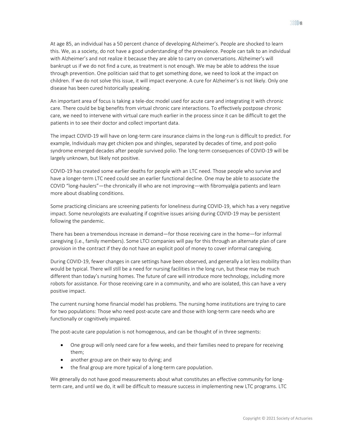At age 85, an individual has a 50 percent chance of developing Alzheimer's. People are shocked to learn this. We, as a society, do not have a good understanding of the prevalence. People can talk to an individual with Alzheimer's and not realize it because they are able to carry on conversations. Alzheimer's will bankrupt us if we do not find a cure, as treatment is not enough. We may be able to address the issue through prevention. One politician said that to get something done, we need to look at the impact on children. If we do not solve this issue, it will impact everyone. A cure for Alzheimer's is not likely. Only one disease has been cured historically speaking.

An important area of focus is taking a tele‐doc model used for acute care and integrating it with chronic care. There could be big benefits from virtual chronic care interactions. To effectively postpose chronic care, we need to intervene with virtual care much earlier in the process since it can be difficult to get the patients in to see their doctor and collect important data.

The impact COVID‐19 will have on long‐term care insurance claims in the long‐run is difficult to predict. For example, Individuals may get chicken pox and shingles, separated by decades of time, and post‐polio syndrome emerged decades after people survived polio. The long-term consequences of COVID-19 will be largely unknown, but likely not positive.

COVID‐19 has created some earlier deaths for people with an LTC need. Those people who survive and have a longer‐term LTC need could see an earlier functional decline. One may be able to associate the COVID "long‐haulers"—the chronically ill who are not improving—with fibromyalgia patients and learn more about disabling conditions.

Some practicing clinicians are screening patients for loneliness during COVID‐19, which has a very negative impact. Some neurologists are evaluating if cognitive issues arising during COVID‐19 may be persistent following the pandemic.

There has been a tremendous increase in demand—for those receiving care in the home—for informal caregiving (i.e., family members). Some LTCI companies will pay for this through an alternate plan of care provision in the contract if they do not have an explicit pool of money to cover informal caregiving.

During COVID‐19, fewer changes in care settings have been observed, and generally a lot less mobility than would be typical. There will still be a need for nursing facilities in the long run, but these may be much different than today's nursing homes. The future of care will introduce more technology, including more robots for assistance. For those receiving care in a community, and who are isolated, this can have a very positive impact.

The current nursing home financial model has problems. The nursing home institutions are trying to care for two populations: Those who need post-acute care and those with long-term care needs who are functionally or cognitively impaired.

The post‐acute care population is not homogenous, and can be thought of in three segments:

- One group will only need care for a few weeks, and their families need to prepare for receiving them;
- another group are on their way to dying; and
- the final group are more typical of a long-term care population.

We generally do not have good measurements about what constitutes an effective community for longterm care, and until we do, it will be difficult to measure success in implementing new LTC programs. LTC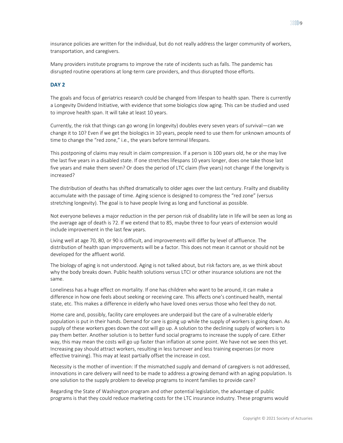insurance policies are written for the individual, but do not really address the larger community of workers, transportation, and caregivers.

Many providers institute programs to improve the rate of incidents such as falls. The pandemic has disrupted routine operations at long‐term care providers, and thus disrupted those efforts.

#### **DAY 2**

The goals and focus of geriatrics research could be changed from lifespan to health span. There is currently a Longevity Dividend Initiative, with evidence that some biologics slow aging. This can be studied and used to improve health span. It will take at least 10 years.

Currently, the risk that things can go wrong (in longevity) doubles every seven years of survival—can we change it to 10? Even if we get the biologics in 10 years, people need to use them for unknown amounts of time to change the "red zone," i.e., the years before terminal lifespans.

This postponing of claims may result in claim compression. If a person is 100 years old, he or she may live the last five years in a disabled state. If one stretches lifespans 10 years longer, does one take those last five years and make them seven? Or does the period of LTC claim (five years) not change if the longevity is increased?

The distribution of deaths has shifted dramatically to older ages over the last century. Frailty and disability accumulate with the passage of time. Aging science is designed to compress the "red zone" (versus stretching longevity). The goal is to have people living as long and functional as possible.

Not everyone believes a major reduction in the per person risk of disability late in life will be seen as long as the average age of death is 72. If we extend that to 85, maybe three to four years of extension would include improvement in the last few years.

Living well at age 70, 80, or 90 is difficult, and improvements will differ by level of affluence. The distribution of health span improvements will be a factor. This does not mean it cannot or should not be developed for the affluent world.

The biology of aging is not understood. Aging is not talked about, but risk factors are, as we think about why the body breaks down. Public health solutions versus LTCI or other insurance solutions are not the same.

Loneliness has a huge effect on mortality. If one has children who want to be around, it can make a difference in how one feels about seeking or receiving care. This affects one's continued health, mental state, etc. This makes a difference in elderly who have loved ones versus those who feel they do not.

Home care and, possibly, facility care employees are underpaid but the care of a vulnerable elderly population is put in their hands. Demand for care is going up while the supply of workers is going down. As supply of these workers goes down the cost will go up. A solution to the declining supply of workers is to pay them better. Another solution is to better fund social programs to increase the supply of care. Either way, this may mean the costs will go up faster than inflation at some point. We have not we seen this yet. Increasing pay should attract workers, resulting in less turnover and less training expenses (or more effective training). This may at least partially offset the increase in cost.

Necessity is the mother of invention: If the mismatched supply and demand of caregivers is not addressed, innovations in care delivery will need to be made to address a growing demand with an aging population. Is one solution to the supply problem to develop programs to incent families to provide care?

Regarding the State of Washington program and other potential legislation, the advantage of public programs is that they could reduce marketing costs for the LTC insurance industry. These programs would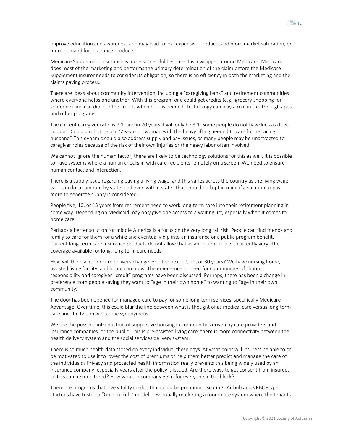improve education and awareness and may lead to less expensive products and more market saturation, or more demand for insurance products.

Medicare Supplement insurance is more successful because it is a wrapper around Medicare. Medicare does most of the marketing and performs the primary determination of the claim before the Medicare Supplement insurer needs to consider its obligation, so there is an efficiency in both the marketing and the claims paying process.

There are ideas about community intervention, including a "caregiving bank" and retirement communities where everyone helps one another. With this program one could get credits (e.g., grocery shopping for someone) and can dip into the credits when help is needed. Technology can play a role in this through apps and other programs.

The current caregiver ratio is 7:1, and in 20 years it will only be 3:1. Some people do not have kids as direct support. Could a robot help a 72-year-old woman with the heavy lifting needed to care for her ailing husband? This dynamic could also address supply and pay issues, as many people may be unattracted to caregiver roles because of the risk of their own injuries or the heavy labor often involved.

We cannot ignore the human factor; there are likely to be technology solutions for this as well. It is possible to have systems where a human checks in with care recipients remotely on a screen. We need to ensure human contact and interaction.

There is a supply issue regarding paying a living wage, and this varies across the country as the living wage varies in dollar amount by state, and even within state. That should be kept in mind if a solution to pay more to generate supply is considered.

People five, 10, or 15 years from retirement need to work long‐term care into their retirement planning in some way. Depending on Medicaid may only give one access to a waiting list, especially when it comes to home care.

Perhaps a better solution for middle America is a focus on the very long tail risk. People can find friends and family to care for them for a while and eventually dip into an insurance or a public program benefit. Current long‐term care insurance products do not allow that as an option. There is currently very little coverage available for long, long‐term care needs.

How will the places for care delivery change over the next 10, 20, or 30 years? We have nursing home, assisted living facility, and home care now. The emergence or need for communities of shared responsibility and caregiver "credit" programs have been discussed. Perhaps, there has been a change in preference from people saying they want to "age in their own home" to wanting to "age in their own community."

The door has been opened for managed care to pay for some long‐term services, specifically Medicare Advantage. Over time, this could blur the line between what is thought of as medical care versus long‐term care and the two may become synonymous.

We see the possible introduction of supportive housing in communities driven by care providers and insurance companies, or the public. This is pre‐assisted living care; there is more connectivity between the health delivery system and the social services delivery system.

There is so much health data stored on every individual these days. At what point will insurers be able to or be motivated to use it to lower the cost of premiums or help them better predict and manage the care of the individuals? Privacy and protected health information really prevents this being widely used by an insurance company, especially years after the policy is issued. Are there ways to get consent from insureds so this can be monitored? How would a company get it for everyone in the block?

There are programs that give vitality credits that could be premium discounts. Airbnb and VRBO–type startups have tested a "Golden Girls" model—essentially marketing a roommate system where the tenants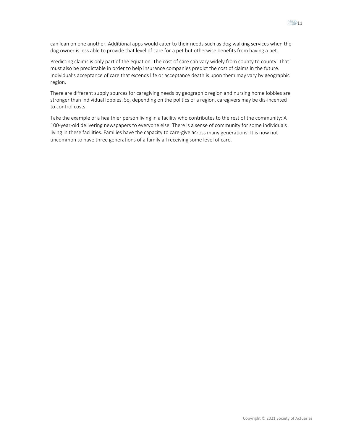can lean on one another. Additional apps would cater to their needs such as dog-walking services when the dog owner is less able to provide that level of care for a pet but otherwise benefits from having a pet.

Predicting claims is only part of the equation. The cost of care can vary widely from county to county. That must also be predictable in order to help insurance companies predict the cost of claims in the future. Individual's acceptance of care that extends life or acceptance death is upon them may vary by geographic region.

There are different supply sources for caregiving needs by geographic region and nursing home lobbies are stronger than individual lobbies. So, depending on the politics of a region, caregivers may be dis‐incented to control costs.

Take the example of a healthier person living in a facility who contributes to the rest of the community: A 100‐year‐old delivering newspapers to everyone else. There is a sense of community for some individuals living in these facilities. Families have the capacity to care‐give across many generations: It is now not uncommon to have three generations of a family all receiving some level of care.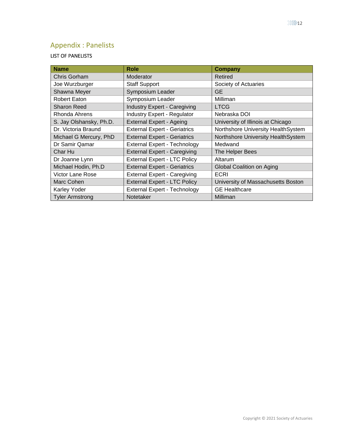# Appendix : Panelists

### LIST OF PANELISTS

| <b>Name</b>             | Role                                | Company                            |
|-------------------------|-------------------------------------|------------------------------------|
| Chris Gorham            | Moderator                           | Retired                            |
| Joe Wurzburger          | <b>Staff Support</b>                | Society of Actuaries               |
| Shawna Meyer            | Symposium Leader                    | <b>GE</b>                          |
| <b>Robert Eaton</b>     | Symposium Leader                    | <b>Milliman</b>                    |
| <b>Sharon Reed</b>      | <b>Industry Expert - Caregiving</b> | <b>LTCG</b>                        |
| Rhonda Ahrens           | <b>Industry Expert - Regulator</b>  | Nebraska DOI                       |
| S. Jay Olshansky, Ph.D. | <b>External Expert - Ageing</b>     | University of Illinois at Chicago  |
| Dr. Victoria Braund     | <b>External Expert - Geriatrics</b> | Northshore University HealthSystem |
| Michael G Mercury, PhD  | <b>External Expert - Geriatrics</b> | Northshore University HealthSystem |
| Dr Samir Qamar          | <b>External Expert - Technology</b> | Medwand                            |
| Char Hu                 | <b>External Expert - Caregiving</b> | The Helper Bees                    |
| Dr Joanne Lynn          | <b>External Expert - LTC Policy</b> | Altarum                            |
| Michael Hodin, Ph.D     | <b>External Expert - Geriatrics</b> | Global Coalition on Aging          |
| Victor Lane Rose        | <b>External Expert - Caregiving</b> | <b>ECRI</b>                        |
| Marc Cohen              | <b>External Expert - LTC Policy</b> | University of Massachusetts Boston |
| Karley Yoder            | <b>External Expert - Technology</b> | <b>GE</b> Healthcare               |
| <b>Tyler Armstrong</b>  | Notetaker                           | <b>Milliman</b>                    |